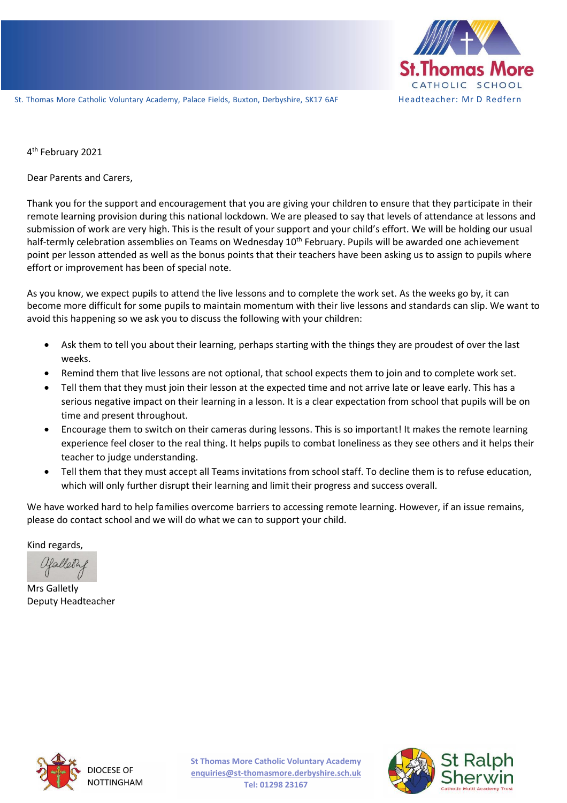

St. Thomas More Catholic Voluntary Academy, Palace Fields, Buxton, Derbyshire, SK17 6AF Headteacher: Mr D Redfern

4<sup>th</sup> February 2021

Dear Parents and Carers,

Thank you for the support and encouragement that you are giving your children to ensure that they participate in their remote learning provision during this national lockdown. We are pleased to say that levels of attendance at lessons and submission of work are very high. This is the result of your support and your child's effort. We will be holding our usual half-termly celebration assemblies on Teams on Wednesday 10<sup>th</sup> February. Pupils will be awarded one achievement point per lesson attended as well as the bonus points that their teachers have been asking us to assign to pupils where effort or improvement has been of special note.

As you know, we expect pupils to attend the live lessons and to complete the work set. As the weeks go by, it can become more difficult for some pupils to maintain momentum with their live lessons and standards can slip. We want to avoid this happening so we ask you to discuss the following with your children:

- Ask them to tell you about their learning, perhaps starting with the things they are proudest of over the last weeks.
- Remind them that live lessons are not optional, that school expects them to join and to complete work set.
- Tell them that they must join their lesson at the expected time and not arrive late or leave early. This has a serious negative impact on their learning in a lesson. It is a clear expectation from school that pupils will be on time and present throughout.
- Encourage them to switch on their cameras during lessons. This is so important! It makes the remote learning experience feel closer to the real thing. It helps pupils to combat loneliness as they see others and it helps their teacher to judge understanding.
- Tell them that they must accept all Teams invitations from school staff. To decline them is to refuse education, which will only further disrupt their learning and limit their progress and success overall.

We have worked hard to help families overcome barriers to accessing remote learning. However, if an issue remains, please do contact school and we will do what we can to support your child.

Kind regards,

Mrs Galletly Deputy Headteacher



DIOCESE OF NOTTINGHAM **St Thomas More Catholic Voluntary Academy enquiries@st-thomasmore.derbyshire.sch.uk Tel: 01298 23167**